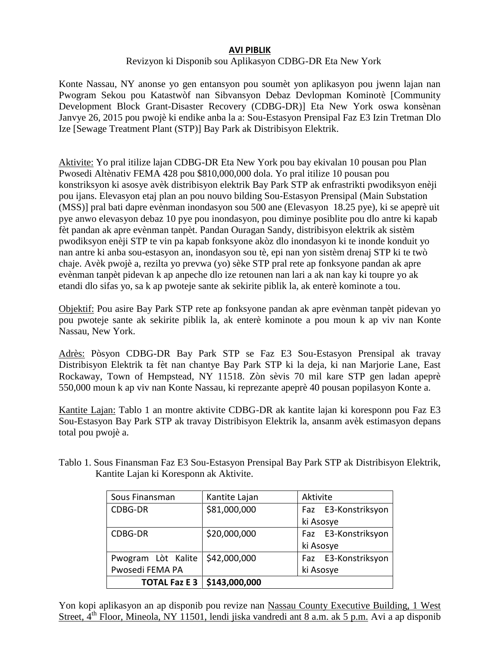## **AVI PIBLIK**

## Revizyon ki Disponib sou Aplikasyon CDBG-DR Eta New York

Konte Nassau, NY anonse yo gen entansyon pou soumèt yon aplikasyon pou jwenn lajan nan Pwogram Sekou pou Katastwòf nan Sibvansyon Debaz Devlopman Kominotè [Community Development Block Grant-Disaster Recovery (CDBG-DR)] Eta New York oswa konsènan Janvye 26, 2015 pou pwojè ki endike anba la a: Sou-Estasyon Prensipal Faz E3 Izin Tretman Dlo Ize [Sewage Treatment Plant (STP)] Bay Park ak Distribisyon Elektrik.

Aktivite: Yo pral itilize lajan CDBG-DR Eta New York pou bay ekivalan 10 pousan pou Plan Pwosedi Altènativ FEMA 428 pou \$810,000,000 dola. Yo pral itilize 10 pousan pou konstriksyon ki asosye avèk distribisyon elektrik Bay Park STP ak enfrastrikti pwodiksyon enèji pou ijans. Elevasyon etaj plan an pou nouvo bilding Sou-Estasyon Prensipal (Main Substation (MSS)] pral bati dapre evènman inondasyon sou 500 ane (Elevasyon 18.25 pye), ki se apeprè uit pye anwo elevasyon debaz 10 pye pou inondasyon, pou diminye posiblite pou dlo antre ki kapab fèt pandan ak apre evènman tanpèt. Pandan Ouragan Sandy, distribisyon elektrik ak sistèm pwodiksyon enèji STP te vin pa kapab fonksyone akòz dlo inondasyon ki te inonde konduit yo nan antre ki anba sou-estasyon an, inondasyon sou tè, epi nan yon sistèm drenaj STP ki te twò chaje. Avèk pwojè a, rezilta yo prevwa (yo) sèke STP pral rete ap fonksyone pandan ak apre evènman tanpèt pidevan k ap anpeche dlo ize retounen nan lari a ak nan kay ki toupre yo ak etandi dlo sifas yo, sa k ap pwoteje sante ak sekirite piblik la, ak enterè kominote a tou.

Objektif: Pou asire Bay Park STP rete ap fonksyone pandan ak apre evènman tanpèt pidevan yo pou pwoteje sante ak sekirite piblik la, ak enterè kominote a pou moun k ap viv nan Konte Nassau, New York.

Adrès: Pòsyon CDBG-DR Bay Park STP se Faz E3 Sou-Estasyon Prensipal ak travay Distribisyon Elektrik ta fèt nan chantye Bay Park STP ki la deja, ki nan Marjorie Lane, East Rockaway, Town of Hempstead, NY 11518. Zòn sèvis 70 mil kare STP gen ladan apeprè 550,000 moun k ap viv nan Konte Nassau, ki reprezante apeprè 40 pousan popilasyon Konte a.

Kantite Lajan: Tablo 1 an montre aktivite CDBG-DR ak kantite lajan ki koresponn pou Faz E3 Sou-Estasyon Bay Park STP ak travay Distribisyon Elektrik la, ansanm avèk estimasyon depans total pou pwojè a.

| Tablo 1. Sous Finansman Faz E3 Sou-Estasyon Prensipal Bay Park STP ak Distribisyon Elektrik, |                                         |  |  |
|----------------------------------------------------------------------------------------------|-----------------------------------------|--|--|
|                                                                                              | Kantite Lajan ki Koresponn ak Aktivite. |  |  |

| Sous Finansman       | Kantite Lajan | Aktivite            |  |
|----------------------|---------------|---------------------|--|
| CDBG-DR              | \$81,000,000  | Faz E3-Konstriksyon |  |
|                      |               | ki Asosye           |  |
| CDBG-DR              | \$20,000,000  | Faz E3-Konstriksyon |  |
|                      |               | ki Asosye           |  |
| Pwogram Lòt Kalite   | \$42,000,000  | Faz E3-Konstriksyon |  |
| Pwosedi FEMA PA      |               | ki Asosye           |  |
| <b>TOTAL Faz E 3</b> | \$143,000,000 |                     |  |

Yon kopi aplikasyon an ap disponib pou revize nan Nassau County Executive Building, 1 West Street, 4<sup>th</sup> Floor, Mineola, NY 11501, lendi jiska vandredi ant 8 a.m. ak 5 p.m. Avi a ap disponib